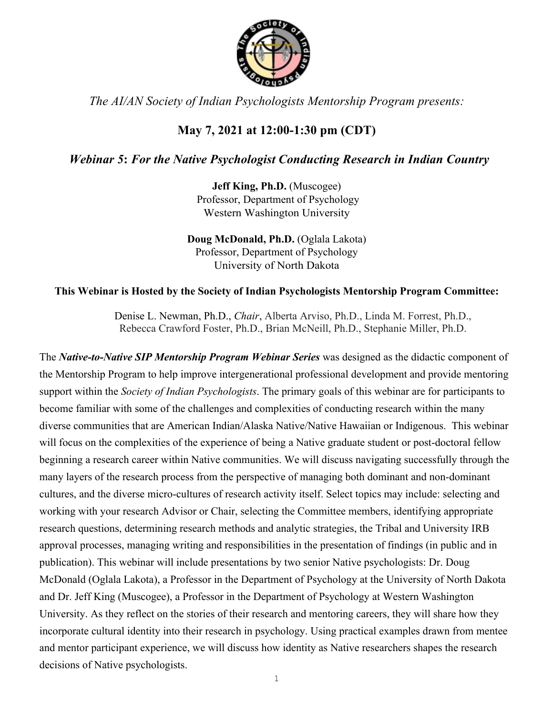

*The AI/AN Society of Indian Psychologists Mentorship Program presents:*

# **May 7, 2021 at 12:00-1:30 pm (CDT)**

## *Webinar 5***:** *For the Native Psychologist Conducting Research in Indian Country*

**Jeff King, Ph.D.** (Muscogee) Professor, Department of Psychology Western Washington University

**Doug McDonald, Ph.D.** (Oglala Lakota) Professor, Department of Psychology University of North Dakota

### **This Webinar is Hosted by the Society of Indian Psychologists Mentorship Program Committee:**

Denise L. Newman, Ph.D., *Chair*, Alberta Arviso, Ph.D., Linda M. Forrest, Ph.D., Rebecca Crawford Foster, Ph.D., Brian McNeill, Ph.D., Stephanie Miller, Ph.D.

The *Native-to-Native SIP Mentorship Program Webinar Series* was designed as the didactic component of the Mentorship Program to help improve intergenerational professional development and provide mentoring support within the *Society of Indian Psychologists*. The primary goals of this webinar are for participants to become familiar with some of the challenges and complexities of conducting research within the many diverse communities that are American Indian/Alaska Native/Native Hawaiian or Indigenous. This webinar will focus on the complexities of the experience of being a Native graduate student or post-doctoral fellow beginning a research career within Native communities. We will discuss navigating successfully through the many layers of the research process from the perspective of managing both dominant and non-dominant cultures, and the diverse micro-cultures of research activity itself. Select topics may include: selecting and working with your research Advisor or Chair, selecting the Committee members, identifying appropriate research questions, determining research methods and analytic strategies, the Tribal and University IRB approval processes, managing writing and responsibilities in the presentation of findings (in public and in publication). This webinar will include presentations by two senior Native psychologists: Dr. Doug McDonald (Oglala Lakota), a Professor in the Department of Psychology at the University of North Dakota and Dr. Jeff King (Muscogee), a Professor in the Department of Psychology at Western Washington University. As they reflect on the stories of their research and mentoring careers, they will share how they incorporate cultural identity into their research in psychology. Using practical examples drawn from mentee and mentor participant experience, we will discuss how identity as Native researchers shapes the research decisions of Native psychologists.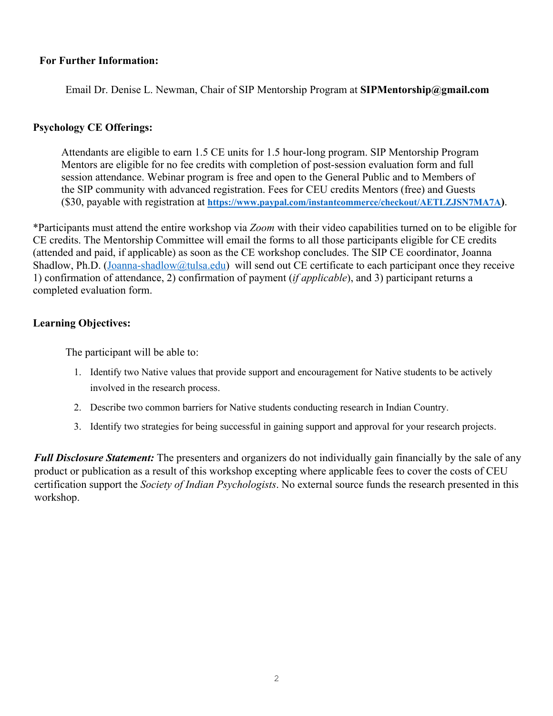#### **For Further Information:**

Email Dr. Denise L. Newman, Chair of SIP Mentorship Program at **SIPMentorship@gmail.com**

#### **Psychology CE Offerings:**

Attendants are eligible to earn 1.5 CE units for 1.5 hour-long program. SIP Mentorship Program Mentors are eligible for no fee credits with completion of post-session evaluation form and full session attendance. Webinar program is free and open to the General Public and to Members of the SIP community with advanced registration. Fees for CEU credits Mentors (free) and Guests (\$30, payable with registration at **https://www.paypal.com/instantcommerce/checkout/AETLZJSN7MA7A)**.

\*Participants must attend the entire workshop via *Zoom* with their video capabilities turned on to be eligible for CE credits. The Mentorship Committee will email the forms to all those participants eligible for CE credits (attended and paid, if applicable) as soon as the CE workshop concludes. The SIP CE coordinator, Joanna Shadlow, Ph.D. (Joanna-shadlow@tulsa.edu) will send out CE certificate to each participant once they receive 1) confirmation of attendance, 2) confirmation of payment (*if applicable*), and 3) participant returns a completed evaluation form.

#### **Learning Objectives:**

The participant will be able to:

- 1. Identify two Native values that provide support and encouragement for Native students to be actively involved in the research process.
- 2. Describe two common barriers for Native students conducting research in Indian Country.
- 3. Identify two strategies for being successful in gaining support and approval for your research projects.

*Full Disclosure Statement:* The presenters and organizers do not individually gain financially by the sale of any product or publication as a result of this workshop excepting where applicable fees to cover the costs of CEU certification support the *Society of Indian Psychologists*. No external source funds the research presented in this workshop.